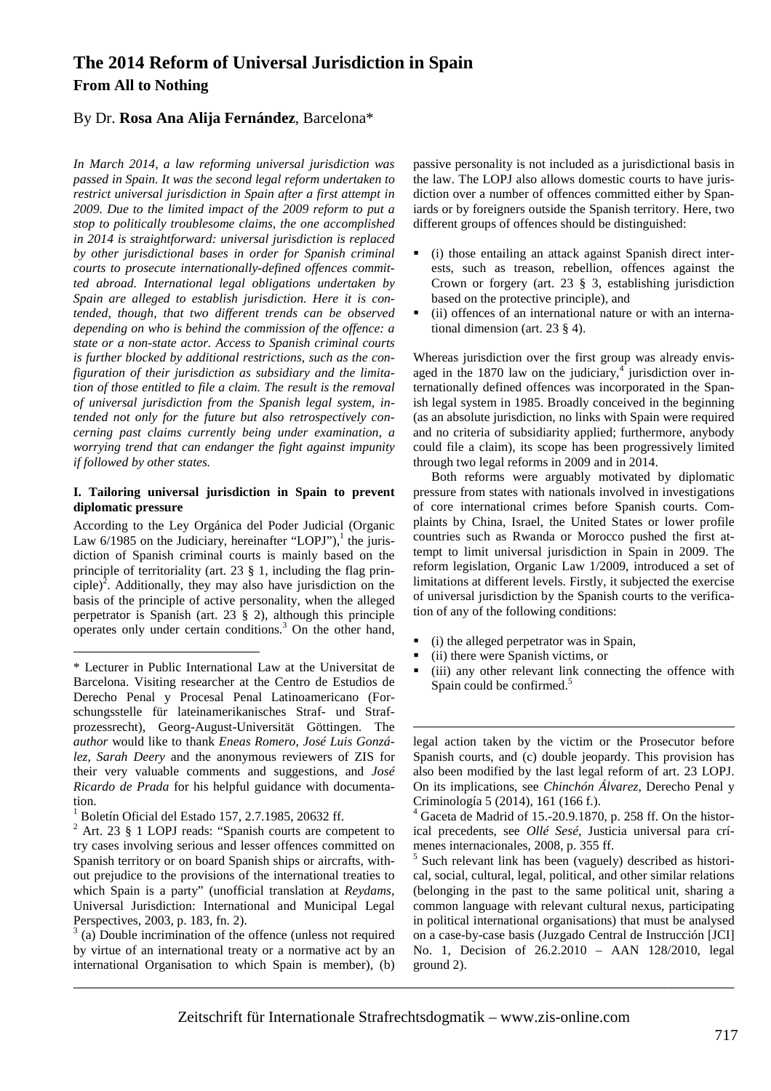# **The 2014 Reform of Universal Jurisdiction in Spain From All to Nothing**

# By Dr. **Rosa Ana Alija Fernández**, Barcelona\*

*In March 2014, a law reforming universal jurisdiction was passed in Spain. It was the second legal reform undertaken to restrict universal jurisdiction in Spain after a first attempt in 2009. Due to the limited impact of the 2009 reform to put a stop to politically troublesome claims, the one accomplished in 2014 is straightforward: universal jurisdiction is replaced by other jurisdictional bases in order for Spanish criminal courts to prosecute internationally-defined offences committed abroad. International legal obligations undertaken by Spain are alleged to establish jurisdiction. Here it is contended, though, that two different trends can be observed depending on who is behind the commission of the offence: a state or a non-state actor. Access to Spanish criminal courts is further blocked by additional restrictions, such as the configuration of their jurisdiction as subsidiary and the limitation of those entitled to file a claim. The result is the removal of universal jurisdiction from the Spanish legal system, intended not only for the future but also retrospectively concerning past claims currently being under examination, a worrying trend that can endanger the fight against impunity if followed by other states.* 

#### **I. Tailoring universal jurisdiction in Spain to prevent diplomatic pressure**

According to the Ley Orgánica del Poder Judicial (Organic Law  $6/1985$  on the Judiciary, hereinafter "LOPJ"),<sup>1</sup> the jurisdiction of Spanish criminal courts is mainly based on the principle of territoriality (art. 23 § 1, including the flag principle)<sup>2</sup>. Additionally, they may also have jurisdiction on the basis of the principle of active personality, when the alleged perpetrator is Spanish (art. 23 § 2), although this principle operates only under certain conditions. $3$  On the other hand,

 $\overline{a}$ 

 $3$  (a) Double incrimination of the offence (unless not required by virtue of an international treaty or a normative act by an international Organisation to which Spain is member), (b)

passive personality is not included as a jurisdictional basis in the law. The LOPJ also allows domestic courts to have jurisdiction over a number of offences committed either by Spaniards or by foreigners outside the Spanish territory. Here, two different groups of offences should be distinguished:

- (i) those entailing an attack against Spanish direct interests, such as treason, rebellion, offences against the Crown or forgery (art. 23 § 3, establishing jurisdiction based on the protective principle), and
- (ii) offences of an international nature or with an international dimension (art. 23 § 4).

Whereas jurisdiction over the first group was already envisaged in the 1870 law on the judiciary, $4$  jurisdiction over internationally defined offences was incorporated in the Spanish legal system in 1985. Broadly conceived in the beginning (as an absolute jurisdiction, no links with Spain were required and no criteria of subsidiarity applied; furthermore, anybody could file a claim), its scope has been progressively limited through two legal reforms in 2009 and in 2014.

Both reforms were arguably motivated by diplomatic pressure from states with nationals involved in investigations of core international crimes before Spanish courts. Complaints by China, Israel, the United States or lower profile countries such as Rwanda or Morocco pushed the first attempt to limit universal jurisdiction in Spain in 2009. The reform legislation, Organic Law 1/2009, introduced a set of limitations at different levels. Firstly, it subjected the exercise of universal jurisdiction by the Spanish courts to the verification of any of the following conditions:

- (i) the alleged perpetrator was in Spain,
- (ii) there were Spanish victims, or
- (iii) any other relevant link connecting the offence with Spain could be confirmed.<sup>5</sup>

 $\overline{a}$ legal action taken by the victim or the Prosecutor before Spanish courts, and (c) double jeopardy. This provision has also been modified by the last legal reform of art. 23 LOPJ. On its implications, see *Chinchón Álvarez*, Derecho Penal y Criminología 5 (2014), 161 (166 f.).

4 Gaceta de Madrid of 15.-20.9.1870, p. 258 ff. On the historical precedents, see *Ollé Sesé*, Justicia universal para crímenes internacionales, 2008, p. 355 ff.

5 Such relevant link has been (vaguely) described as historical, social, cultural, legal, political, and other similar relations (belonging in the past to the same political unit, sharing a common language with relevant cultural nexus, participating in political international organisations) that must be analysed on a case-by-case basis (Juzgado Central de Instrucción [JCI] No. 1, Decision of 26.2.2010 – AAN 128/2010, legal ground 2).

\_\_\_\_\_\_\_\_\_\_\_\_\_\_\_\_\_\_\_\_\_\_\_\_\_\_\_\_\_\_\_\_\_\_\_\_\_\_\_\_\_\_\_\_\_\_\_\_\_\_\_\_\_\_\_\_\_\_\_\_\_\_\_\_\_\_\_\_\_\_\_\_\_\_\_\_\_\_\_\_\_\_\_\_\_

<sup>\*</sup> Lecturer in Public International Law at the Universitat de Barcelona. Visiting researcher at the Centro de Estudios de Derecho Penal y Procesal Penal Latinoamericano (Forschungsstelle für lateinamerikanisches Straf- und Strafprozessrecht), Georg-August-Universität Göttingen. The *author* would like to thank *Eneas Romero*, *José Luis González*, *Sarah Deery* and the anonymous reviewers of ZIS for their very valuable comments and suggestions, and *José Ricardo de Prada* for his helpful guidance with documentation.

<sup>1</sup> Boletín Oficial del Estado 157, 2.7.1985, 20632 ff.

 $2$  Art. 23  $\S$  1 LOPJ reads: "Spanish courts are competent to try cases involving serious and lesser offences committed on Spanish territory or on board Spanish ships or aircrafts, without prejudice to the provisions of the international treaties to which Spain is a party" (unofficial translation at *Reydams*, Universal Jurisdiction: International and Municipal Legal Perspectives, 2003, p. 183, fn. 2).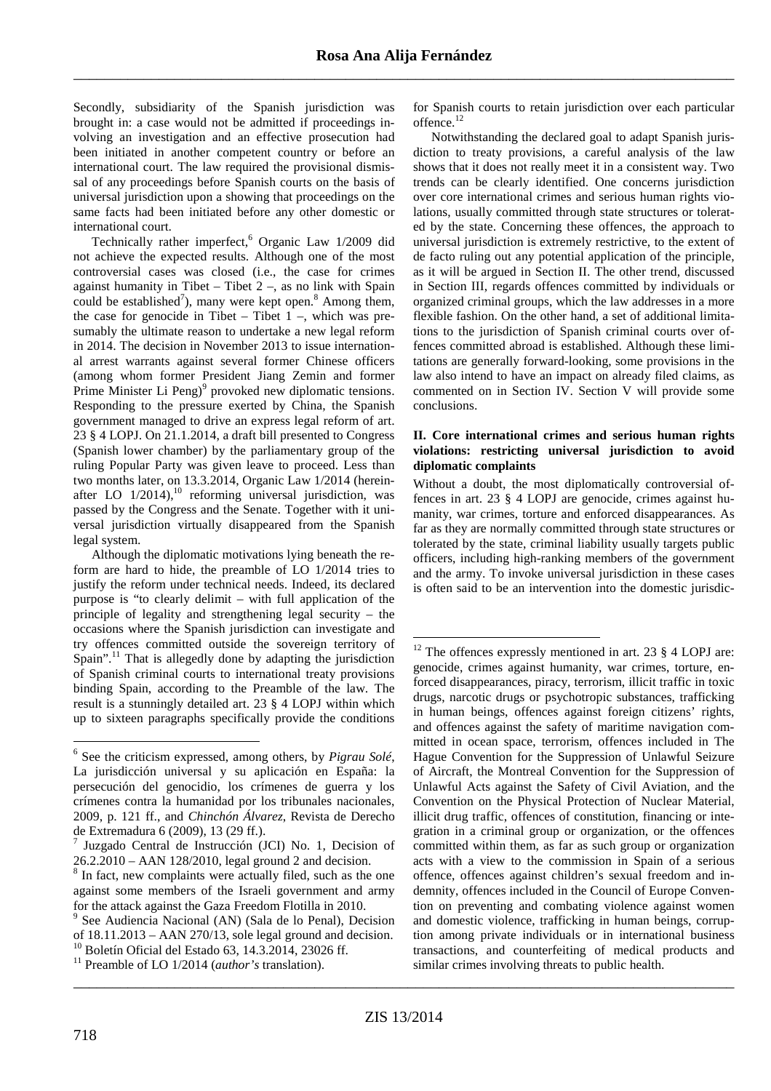Secondly, subsidiarity of the Spanish jurisdiction was brought in: a case would not be admitted if proceedings involving an investigation and an effective prosecution had been initiated in another competent country or before an international court. The law required the provisional dismissal of any proceedings before Spanish courts on the basis of universal jurisdiction upon a showing that proceedings on the same facts had been initiated before any other domestic or international court.

Technically rather imperfect,<sup>6</sup> Organic Law 1/2009 did not achieve the expected results. Although one of the most controversial cases was closed (i.e., the case for crimes against humanity in Tibet – Tibet  $2 -$ , as no link with Spain could be established<sup>7</sup>), many were kept open.<sup>8</sup> Among them, the case for genocide in Tibet – Tibet  $1 -$ , which was presumably the ultimate reason to undertake a new legal reform in 2014. The decision in November 2013 to issue international arrest warrants against several former Chinese officers (among whom former President Jiang Zemin and former Prime Minister Li Peng)<sup>9</sup> provoked new diplomatic tensions. Responding to the pressure exerted by China, the Spanish government managed to drive an express legal reform of art. 23 § 4 LOPJ. On 21.1.2014, a draft bill presented to Congress (Spanish lower chamber) by the parliamentary group of the ruling Popular Party was given leave to proceed. Less than two months later, on 13.3.2014, Organic Law 1/2014 (hereinafter LO  $1/2014$ ,<sup>10</sup> reforming universal jurisdiction, was passed by the Congress and the Senate. Together with it universal jurisdiction virtually disappeared from the Spanish legal system.

Although the diplomatic motivations lying beneath the reform are hard to hide, the preamble of LO 1/2014 tries to justify the reform under technical needs. Indeed, its declared purpose is "to clearly delimit – with full application of the principle of legality and strengthening legal security – the occasions where the Spanish jurisdiction can investigate and try offences committed outside the sovereign territory of  $Spain''<sup>11</sup> That is allegedly done by adapting the jurisdiction$ of Spanish criminal courts to international treaty provisions binding Spain, according to the Preamble of the law. The result is a stunningly detailed art. 23 § 4 LOPJ within which up to sixteen paragraphs specifically provide the conditions

for Spanish courts to retain jurisdiction over each particular offence.<sup>12</sup>

Notwithstanding the declared goal to adapt Spanish jurisdiction to treaty provisions, a careful analysis of the law shows that it does not really meet it in a consistent way. Two trends can be clearly identified. One concerns jurisdiction over core international crimes and serious human rights violations, usually committed through state structures or tolerated by the state. Concerning these offences, the approach to universal jurisdiction is extremely restrictive, to the extent of de facto ruling out any potential application of the principle, as it will be argued in Section II. The other trend, discussed in Section III, regards offences committed by individuals or organized criminal groups, which the law addresses in a more flexible fashion. On the other hand, a set of additional limitations to the jurisdiction of Spanish criminal courts over offences committed abroad is established. Although these limitations are generally forward-looking, some provisions in the law also intend to have an impact on already filed claims, as commented on in Section IV. Section V will provide some conclusions.

#### **II. Core international crimes and serious human rights violations: restricting universal jurisdiction to avoid diplomatic complaints**

Without a doubt, the most diplomatically controversial offences in art. 23 § 4 LOPJ are genocide, crimes against humanity, war crimes, torture and enforced disappearances. As far as they are normally committed through state structures or tolerated by the state, criminal liability usually targets public officers, including high-ranking members of the government and the army. To invoke universal jurisdiction in these cases is often said to be an intervention into the domestic jurisdic-

\_\_\_\_\_\_\_\_\_\_\_\_\_\_\_\_\_\_\_\_\_\_\_\_\_\_\_\_\_\_\_\_\_\_\_\_\_\_\_\_\_\_\_\_\_\_\_\_\_\_\_\_\_\_\_\_\_\_\_\_\_\_\_\_\_\_\_\_\_\_\_\_\_\_\_\_\_\_\_\_\_\_\_\_\_

 $\overline{a}$ 

<sup>6</sup> See the criticism expressed, among others, by *Pigrau Solé*, La jurisdicción universal y su aplicación en España: la persecución del genocidio, los crímenes de guerra y los crímenes contra la humanidad por los tribunales nacionales, 2009, p. 121 ff., and *Chinchón Álvarez*, Revista de Derecho de Extremadura 6 (2009), 13 (29 ff.).

<sup>7</sup> Juzgado Central de Instrucción (JCI) No. 1, Decision of 26.2.2010 – AAN 128/2010, legal ground 2 and decision.

<sup>&</sup>lt;sup>8</sup> In fact, new complaints were actually filed, such as the one against some members of the Israeli government and army for the attack against the Gaza Freedom Flotilla in 2010.

<sup>9</sup> See Audiencia Nacional (AN) (Sala de lo Penal), Decision of 18.11.2013 – AAN 270/13, sole legal ground and decision. <sup>10</sup> Boletín Oficial del Estado 63, 14.3.2014, 23026 ff.

<sup>11</sup> Preamble of LO 1/2014 (*author's* translation).

<sup>&</sup>lt;sup>12</sup> The offences expressly mentioned in art. 23  $\S$  4 LOPJ are: genocide, crimes against humanity, war crimes, torture, enforced disappearances, piracy, terrorism, illicit traffic in toxic drugs, narcotic drugs or psychotropic substances, trafficking in human beings, offences against foreign citizens' rights, and offences against the safety of maritime navigation committed in ocean space, terrorism, offences included in The Hague Convention for the Suppression of Unlawful Seizure of Aircraft, the Montreal Convention for the Suppression of Unlawful Acts against the Safety of Civil Aviation, and the Convention on the Physical Protection of Nuclear Material, illicit drug traffic, offences of constitution, financing or integration in a criminal group or organization, or the offences committed within them, as far as such group or organization acts with a view to the commission in Spain of a serious offence, offences against children's sexual freedom and indemnity, offences included in the Council of Europe Convention on preventing and combating violence against women and domestic violence, trafficking in human beings, corruption among private individuals or in international business transactions, and counterfeiting of medical products and similar crimes involving threats to public health.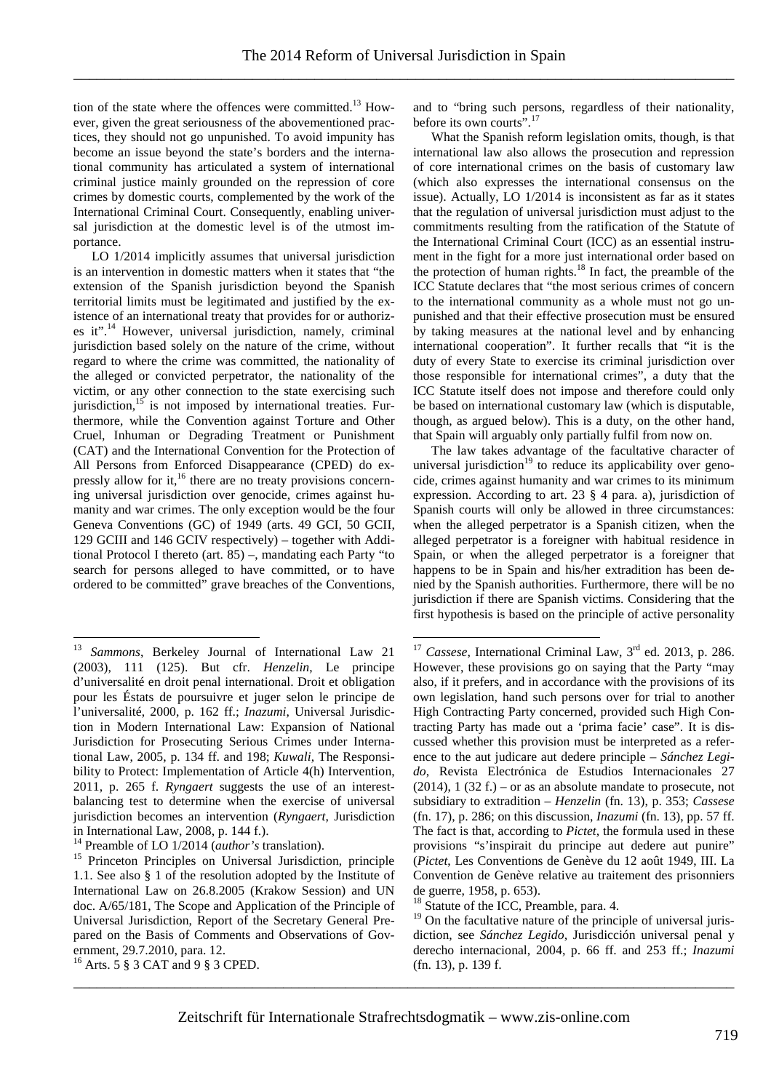tion of the state where the offences were committed. <sup>13</sup> However, given the great seriousness of the abovementioned practices, they should not go unpunished. To avoid impunity has become an issue beyond the state's borders and the international community has articulated a system of international criminal justice mainly grounded on the repression of core crimes by domestic courts, complemented by the work of the International Criminal Court. Consequently, enabling universal jurisdiction at the domestic level is of the utmost importance.

LO 1/2014 implicitly assumes that universal jurisdiction is an intervention in domestic matters when it states that "the extension of the Spanish jurisdiction beyond the Spanish territorial limits must be legitimated and justified by the existence of an international treaty that provides for or authorizes it".<sup>14</sup> However, universal jurisdiction, namely, criminal jurisdiction based solely on the nature of the crime, without regard to where the crime was committed, the nationality of the alleged or convicted perpetrator, the nationality of the victim, or any other connection to the state exercising such jurisdiction,  $15$  is not imposed by international treaties. Furthermore, while the Convention against Torture and Other Cruel, Inhuman or Degrading Treatment or Punishment (CAT) and the International Convention for the Protection of All Persons from Enforced Disappearance (CPED) do expressly allow for it,<sup>16</sup> there are no treaty provisions concerning universal jurisdiction over genocide, crimes against humanity and war crimes. The only exception would be the four Geneva Conventions (GC) of 1949 (arts. 49 GCI, 50 GCII, 129 GCIII and 146 GCIV respectively) – together with Additional Protocol I thereto (art. 85) –, mandating each Party "to search for persons alleged to have committed, or to have ordered to be committed" grave breaches of the Conventions,

 $\overline{a}$ 

and to "bring such persons, regardless of their nationality, before its own courts".<sup>17</sup>

What the Spanish reform legislation omits, though, is that international law also allows the prosecution and repression of core international crimes on the basis of customary law (which also expresses the international consensus on the issue). Actually, LO 1/2014 is inconsistent as far as it states that the regulation of universal jurisdiction must adjust to the commitments resulting from the ratification of the Statute of the International Criminal Court (ICC) as an essential instrument in the fight for a more just international order based on the protection of human rights. $18$  In fact, the preamble of the ICC Statute declares that "the most serious crimes of concern to the international community as a whole must not go unpunished and that their effective prosecution must be ensured by taking measures at the national level and by enhancing international cooperation". It further recalls that "it is the duty of every State to exercise its criminal jurisdiction over those responsible for international crimes", a duty that the ICC Statute itself does not impose and therefore could only be based on international customary law (which is disputable, though, as argued below). This is a duty, on the other hand, that Spain will arguably only partially fulfil from now on.

The law takes advantage of the facultative character of universal jurisdiction $19$  to reduce its applicability over genocide, crimes against humanity and war crimes to its minimum expression. According to art. 23 § 4 para. a), jurisdiction of Spanish courts will only be allowed in three circumstances: when the alleged perpetrator is a Spanish citizen, when the alleged perpetrator is a foreigner with habitual residence in Spain, or when the alleged perpetrator is a foreigner that happens to be in Spain and his/her extradition has been denied by the Spanish authorities. Furthermore, there will be no jurisdiction if there are Spanish victims. Considering that the first hypothesis is based on the principle of active personality

\_\_\_\_\_\_\_\_\_\_\_\_\_\_\_\_\_\_\_\_\_\_\_\_\_\_\_\_\_\_\_\_\_\_\_\_\_\_\_\_\_\_\_\_\_\_\_\_\_\_\_\_\_\_\_\_\_\_\_\_\_\_\_\_\_\_\_\_\_\_\_\_\_\_\_\_\_\_\_\_\_\_\_\_\_

<sup>13</sup> *Sammons*, Berkeley Journal of International Law 21 (2003), 111 (125). But cfr. *Henzelin*, Le principe d'universalité en droit penal international. Droit et obligation pour les Éstats de poursuivre et juger selon le principe de l'universalité, 2000, p. 162 ff.; *Inazumi*, Universal Jurisdiction in Modern International Law: Expansion of National Jurisdiction for Prosecuting Serious Crimes under International Law, 2005, p. 134 ff. and 198; *Kuwali*, The Responsibility to Protect: Implementation of Article 4(h) Intervention, 2011, p. 265 f. *Ryngaert* suggests the use of an interestbalancing test to determine when the exercise of universal jurisdiction becomes an intervention (*Ryngaert*, Jurisdiction in International Law, 2008, p. 144 f.).

<sup>14</sup> Preamble of LO 1/2014 (*author's* translation).

<sup>&</sup>lt;sup>15</sup> Princeton Principles on Universal Jurisdiction, principle 1.1. See also § 1 of the resolution adopted by the Institute of International Law on 26.8.2005 (Krakow Session) and UN doc. A/65/181, The Scope and Application of the Principle of Universal Jurisdiction, Report of the Secretary General Prepared on the Basis of Comments and Observations of Government, 29.7.2010, para. 12.

<sup>16</sup> Arts. 5 § 3 CAT and 9 § 3 CPED.

<sup>&</sup>lt;sup>17</sup> *Cassese*, International Criminal Law, 3<sup>rd</sup> ed. 2013, p. 286. However, these provisions go on saying that the Party "may also, if it prefers, and in accordance with the provisions of its own legislation, hand such persons over for trial to another High Contracting Party concerned, provided such High Contracting Party has made out a 'prima facie' case". It is discussed whether this provision must be interpreted as a reference to the aut judicare aut dedere principle – *Sánchez Legido*, Revista Electrónica de Estudios Internacionales 27  $(2014)$ , 1  $(32 f.)$  – or as an absolute mandate to prosecute, not subsidiary to extradition – *Henzelin* (fn. 13), p. 353; *Cassese* (fn. 17), p. 286; on this discussion, *Inazumi* (fn. 13), pp. 57 ff. The fact is that, according to *Pictet*, the formula used in these provisions "s'inspirait du principe aut dedere aut punire" (*Pictet*, Les Conventions de Genève du 12 août 1949, III. La Convention de Genève relative au traitement des prisonniers de guerre, 1958, p. 653).

<sup>&</sup>lt;sup>18</sup> Statute of the ICC, Preamble, para. 4.

<sup>&</sup>lt;sup>19</sup> On the facultative nature of the principle of universal jurisdiction, see *Sánchez Legido*, Jurisdicción universal penal y derecho internacional, 2004, p. 66 ff. and 253 ff.; *Inazumi* (fn. 13), p. 139 f.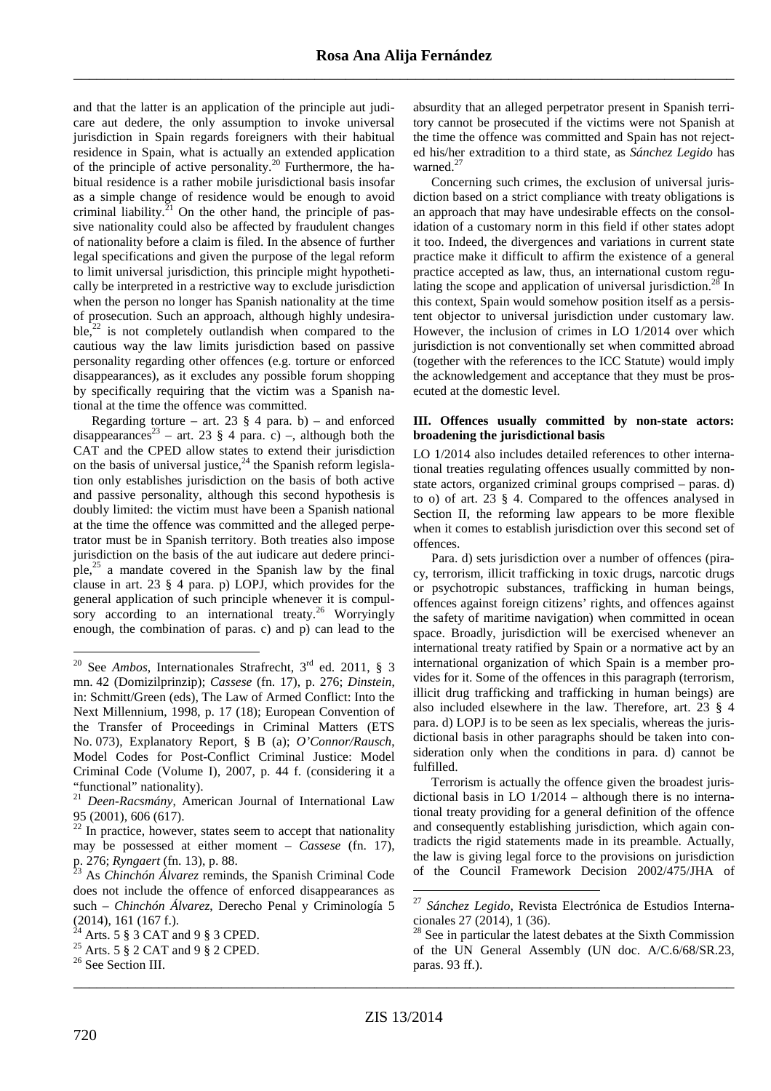and that the latter is an application of the principle aut judicare aut dedere, the only assumption to invoke universal jurisdiction in Spain regards foreigners with their habitual residence in Spain, what is actually an extended application of the principle of active personality.<sup>20</sup> Furthermore, the habitual residence is a rather mobile jurisdictional basis insofar as a simple change of residence would be enough to avoid criminal liability. $2^{1}$  On the other hand, the principle of passive nationality could also be affected by fraudulent changes of nationality before a claim is filed. In the absence of further legal specifications and given the purpose of the legal reform to limit universal jurisdiction, this principle might hypothetically be interpreted in a restrictive way to exclude jurisdiction when the person no longer has Spanish nationality at the time of prosecution. Such an approach, although highly undesirable, $^{22}$  is not completely outlandish when compared to the cautious way the law limits jurisdiction based on passive personality regarding other offences (e.g. torture or enforced disappearances), as it excludes any possible forum shopping by specifically requiring that the victim was a Spanish national at the time the offence was committed.

Regarding torture – art. 23  $\S$  4 para. b) – and enforced disappearances<sup>23</sup> – art. 23 § 4 para. c) –, although both the CAT and the CPED allow states to extend their jurisdiction on the basis of universal justice,  $24$  the Spanish reform legislation only establishes jurisdiction on the basis of both active and passive personality, although this second hypothesis is doubly limited: the victim must have been a Spanish national at the time the offence was committed and the alleged perpetrator must be in Spanish territory. Both treaties also impose jurisdiction on the basis of the aut iudicare aut dedere principle, $25$  a mandate covered in the Spanish law by the final clause in art. 23 § 4 para. p) LOPJ, which provides for the general application of such principle whenever it is compulsory according to an international treaty.<sup>26</sup> Worryingly enough, the combination of paras. c) and p) can lead to the

absurdity that an alleged perpetrator present in Spanish territory cannot be prosecuted if the victims were not Spanish at the time the offence was committed and Spain has not rejected his/her extradition to a third state, as *Sánchez Legido* has warned.<sup>27</sup>

Concerning such crimes, the exclusion of universal jurisdiction based on a strict compliance with treaty obligations is an approach that may have undesirable effects on the consolidation of a customary norm in this field if other states adopt it too. Indeed, the divergences and variations in current state practice make it difficult to affirm the existence of a general practice accepted as law, thus, an international custom regulating the scope and application of universal jurisdiction.<sup>28</sup> In this context, Spain would somehow position itself as a persistent objector to universal jurisdiction under customary law. However, the inclusion of crimes in LO 1/2014 over which jurisdiction is not conventionally set when committed abroad (together with the references to the ICC Statute) would imply the acknowledgement and acceptance that they must be prosecuted at the domestic level.

### **III. Offences usually committed by non-state actors: broadening the jurisdictional basis**

LO 1/2014 also includes detailed references to other international treaties regulating offences usually committed by nonstate actors, organized criminal groups comprised – paras. d) to o) of art. 23 § 4. Compared to the offences analysed in Section II, the reforming law appears to be more flexible when it comes to establish jurisdiction over this second set of offences.

Para. d) sets jurisdiction over a number of offences (piracy, terrorism, illicit trafficking in toxic drugs, narcotic drugs or psychotropic substances, trafficking in human beings, offences against foreign citizens' rights, and offences against the safety of maritime navigation) when committed in ocean space. Broadly, jurisdiction will be exercised whenever an international treaty ratified by Spain or a normative act by an international organization of which Spain is a member provides for it. Some of the offences in this paragraph (terrorism, illicit drug trafficking and trafficking in human beings) are also included elsewhere in the law. Therefore, art. 23 § 4 para. d) LOPJ is to be seen as lex specialis, whereas the jurisdictional basis in other paragraphs should be taken into consideration only when the conditions in para. d) cannot be fulfilled.

Terrorism is actually the offence given the broadest jurisdictional basis in LO 1/2014 – although there is no international treaty providing for a general definition of the offence and consequently establishing jurisdiction, which again contradicts the rigid statements made in its preamble. Actually, the law is giving legal force to the provisions on jurisdiction of the Council Framework Decision 2002/475/JHA of

\_\_\_\_\_\_\_\_\_\_\_\_\_\_\_\_\_\_\_\_\_\_\_\_\_\_\_\_\_\_\_\_\_\_\_\_\_\_\_\_\_\_\_\_\_\_\_\_\_\_\_\_\_\_\_\_\_\_\_\_\_\_\_\_\_\_\_\_\_\_\_\_\_\_\_\_\_\_\_\_\_\_\_\_\_

 $\overline{a}$ <sup>20</sup> See *Ambos*, Internationales Strafrecht, 3rd ed. 2011, § 3 mn. 42 (Domizilprinzip); *Cassese* (fn. 17), p. 276; *Dinstein*, in: Schmitt/Green (eds), The Law of Armed Conflict: Into the Next Millennium, 1998, p. 17 (18); European Convention of the Transfer of Proceedings in Criminal Matters (ETS No. 073), Explanatory Report, § B (a); *O'Connor/Rausch*, Model Codes for Post-Conflict Criminal Justice: Model Criminal Code (Volume I), 2007, p. 44 f. (considering it a "functional" nationality).

<sup>21</sup> *Deen-Racsmány*, American Journal of International Law 95 (2001), 606 (617).

 $^{22}$  In practice, however, states seem to accept that nationality may be possessed at either moment – *Cassese* (fn. 17), p. 276; *Ryngaert* (fn. 13), p. 88.

<sup>23</sup> As *Chinchón Álvarez* reminds, the Spanish Criminal Code does not include the offence of enforced disappearances as such – *Chinchón Álvarez*, Derecho Penal y Criminología 5  $(2014)$ , 161 (167 f.).

 $4$  Arts. 5  $\S$  3 CAT and 9  $\S$  3 CPED.

<sup>&</sup>lt;sup>25</sup> Arts. 5  $\frac{8}{9}$  2 CAT and 9  $\frac{8}{9}$  2 CPED.

<sup>&</sup>lt;sup>26</sup> See Section III.

<sup>27</sup> *Sánchez Legido*, Revista Electrónica de Estudios Internacionales 27 (2014), 1 (36).

 $28$  See in particular the latest debates at the Sixth Commission of the UN General Assembly (UN doc. A/C.6/68/SR.23, paras. 93 ff.).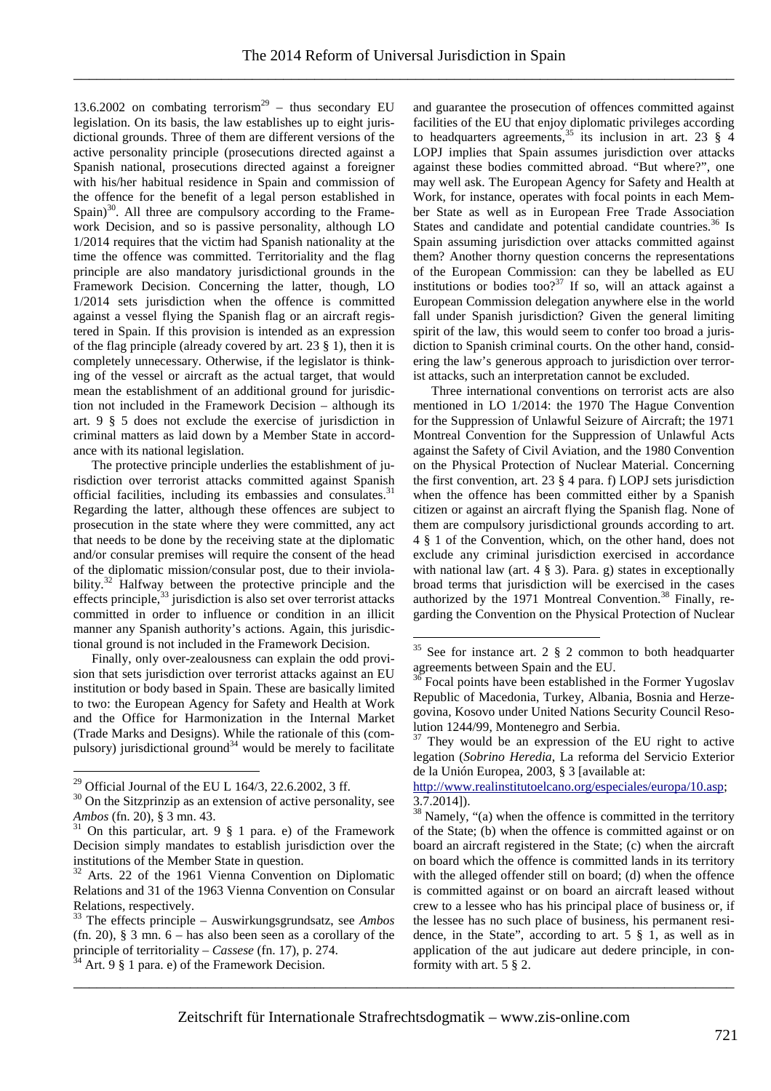13.6.2002 on combating terrorism<sup>29</sup> – thus secondary EU legislation. On its basis, the law establishes up to eight jurisdictional grounds. Three of them are different versions of the active personality principle (prosecutions directed against a Spanish national, prosecutions directed against a foreigner with his/her habitual residence in Spain and commission of the offence for the benefit of a legal person established in Spain)<sup>30</sup>. All three are compulsory according to the Framework Decision, and so is passive personality, although LO 1/2014 requires that the victim had Spanish nationality at the time the offence was committed. Territoriality and the flag principle are also mandatory jurisdictional grounds in the Framework Decision. Concerning the latter, though, LO 1/2014 sets jurisdiction when the offence is committed against a vessel flying the Spanish flag or an aircraft registered in Spain. If this provision is intended as an expression of the flag principle (already covered by art. 23 § 1), then it is completely unnecessary. Otherwise, if the legislator is thinking of the vessel or aircraft as the actual target, that would mean the establishment of an additional ground for jurisdiction not included in the Framework Decision – although its art. 9 § 5 does not exclude the exercise of jurisdiction in criminal matters as laid down by a Member State in accordance with its national legislation.

The protective principle underlies the establishment of jurisdiction over terrorist attacks committed against Spanish official facilities, including its embassies and consulates.<sup>3</sup> Regarding the latter, although these offences are subject to prosecution in the state where they were committed, any act that needs to be done by the receiving state at the diplomatic and/or consular premises will require the consent of the head of the diplomatic mission/consular post, due to their inviolability.<sup>32</sup> Halfway between the protective principle and the effects principle,  $33$  jurisdiction is also set over terrorist attacks committed in order to influence or condition in an illicit manner any Spanish authority's actions. Again, this jurisdictional ground is not included in the Framework Decision.

Finally, only over-zealousness can explain the odd provision that sets jurisdiction over terrorist attacks against an EU institution or body based in Spain. These are basically limited to two: the European Agency for Safety and Health at Work and the Office for Harmonization in the Internal Market (Trade Marks and Designs). While the rationale of this (compulsory) jurisdictional ground<sup>34</sup> would be merely to facilitate

 $\overline{a}$ 

and guarantee the prosecution of offences committed against facilities of the EU that enjoy diplomatic privileges according to headquarters agreements,  $35$  its inclusion in art. 23  $\frac{1}{3}$  4 LOPJ implies that Spain assumes jurisdiction over attacks against these bodies committed abroad. "But where?", one may well ask. The European Agency for Safety and Health at Work, for instance, operates with focal points in each Member State as well as in European Free Trade Association States and candidate and potential candidate countries.<sup>36</sup> Is Spain assuming jurisdiction over attacks committed against them? Another thorny question concerns the representations of the European Commission: can they be labelled as EU institutions or bodies too?<sup>37</sup> If so, will an attack against a European Commission delegation anywhere else in the world fall under Spanish jurisdiction? Given the general limiting spirit of the law, this would seem to confer too broad a jurisdiction to Spanish criminal courts. On the other hand, considering the law's generous approach to jurisdiction over terrorist attacks, such an interpretation cannot be excluded.

Three international conventions on terrorist acts are also mentioned in LO 1/2014: the 1970 The Hague Convention for the Suppression of Unlawful Seizure of Aircraft; the 1971 Montreal Convention for the Suppression of Unlawful Acts against the Safety of Civil Aviation, and the 1980 Convention on the Physical Protection of Nuclear Material. Concerning the first convention, art. 23 § 4 para. f) LOPJ sets jurisdiction when the offence has been committed either by a Spanish citizen or against an aircraft flying the Spanish flag. None of them are compulsory jurisdictional grounds according to art. 4 § 1 of the Convention, which, on the other hand, does not exclude any criminal jurisdiction exercised in accordance with national law (art. 4  $\S$  3). Para. g) states in exceptionally broad terms that jurisdiction will be exercised in the cases authorized by the 1971 Montreal Convention.<sup>38</sup> Finally, regarding the Convention on the Physical Protection of Nuclear

http://www.realinstitutoelcano.org/especiales/europa/10.asp;  $3.7.2014$ ]).

\_\_\_\_\_\_\_\_\_\_\_\_\_\_\_\_\_\_\_\_\_\_\_\_\_\_\_\_\_\_\_\_\_\_\_\_\_\_\_\_\_\_\_\_\_\_\_\_\_\_\_\_\_\_\_\_\_\_\_\_\_\_\_\_\_\_\_\_\_\_\_\_\_\_\_\_\_\_\_\_\_\_\_\_\_

<sup>&</sup>lt;sup>29</sup> Official Journal of the EU L 164/3, 22.6.2002, 3 ff.

 $30$  On the Sitzprinzip as an extension of active personality, see *Ambos* (fn. 20), § 3 mn. 43.

 $31$  On this particular, art. 9  $\S$  1 para. e) of the Framework Decision simply mandates to establish jurisdiction over the institutions of the Member State in question.

<sup>&</sup>lt;sup>32</sup> Arts. 22 of the 1961 Vienna Convention on Diplomatic Relations and 31 of the 1963 Vienna Convention on Consular Relations, respectively.

<sup>33</sup> The effects principle – Auswirkungsgrundsatz, see *Ambos* (fn. 20),  $\S$  3 mn. 6 – has also been seen as a corollary of the principle of territoriality – *Cassese* (fn. 17), p. 274.

 $34$  Art. 9 § 1 para. e) of the Framework Decision.

 $35$  See for instance art. 2 § 2 common to both headquarter agreements between Spain and the EU.

<sup>36</sup> Focal points have been established in the Former Yugoslav Republic of Macedonia, Turkey, Albania, Bosnia and Herzegovina, Kosovo under United Nations Security Council Resolution 1244/99, Montenegro and Serbia.

 $37$  They would be an expression of the EU right to active legation (*Sobrino Heredia*, La reforma del Servicio Exterior de la Unión Europea, 2003, § 3 [available at:

<sup>&</sup>lt;sup>38</sup> Namely, "(a) when the offence is committed in the territory of the State; (b) when the offence is committed against or on board an aircraft registered in the State; (c) when the aircraft on board which the offence is committed lands in its territory with the alleged offender still on board; (d) when the offence is committed against or on board an aircraft leased without crew to a lessee who has his principal place of business or, if the lessee has no such place of business, his permanent residence, in the State", according to art. 5 § 1, as well as in application of the aut judicare aut dedere principle, in conformity with art. 5 § 2.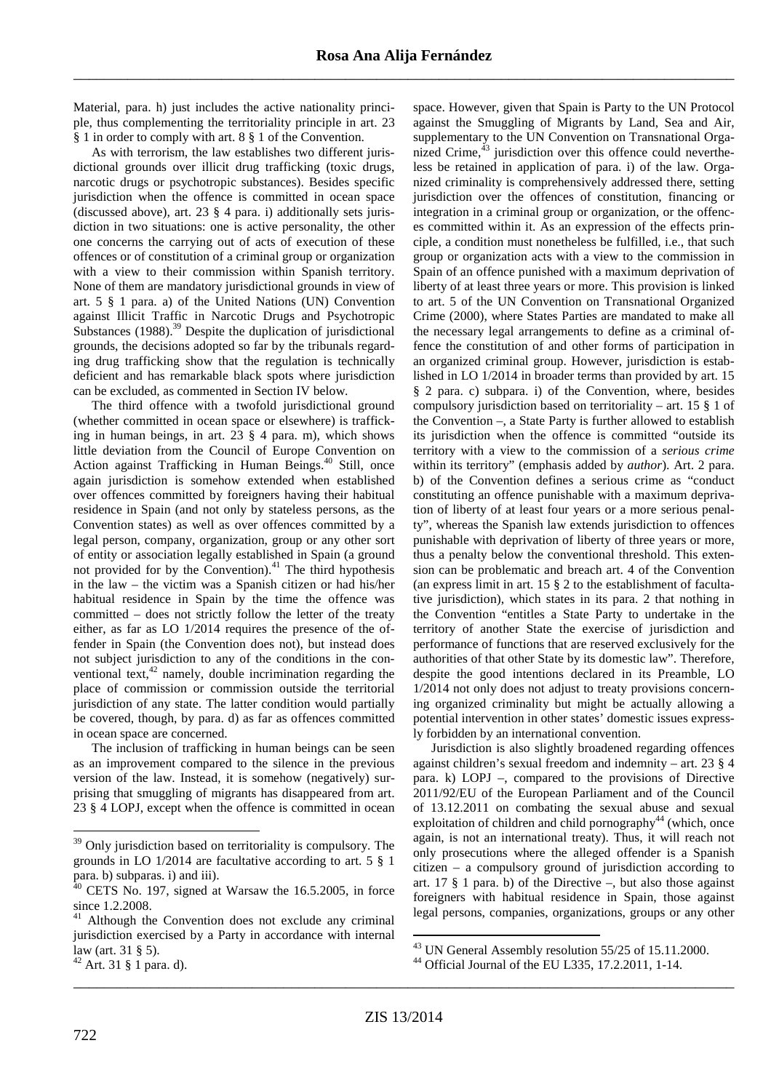Material, para. h) just includes the active nationality principle, thus complementing the territoriality principle in art. 23 § 1 in order to comply with art. 8 § 1 of the Convention.

As with terrorism, the law establishes two different jurisdictional grounds over illicit drug trafficking (toxic drugs, narcotic drugs or psychotropic substances). Besides specific jurisdiction when the offence is committed in ocean space (discussed above), art. 23 § 4 para. i) additionally sets jurisdiction in two situations: one is active personality, the other one concerns the carrying out of acts of execution of these offences or of constitution of a criminal group or organization with a view to their commission within Spanish territory. None of them are mandatory jurisdictional grounds in view of art. 5 § 1 para. a) of the United Nations (UN) Convention against Illicit Traffic in Narcotic Drugs and Psychotropic Substances (1988).<sup>39</sup> Despite the duplication of jurisdictional grounds, the decisions adopted so far by the tribunals regarding drug trafficking show that the regulation is technically deficient and has remarkable black spots where jurisdiction can be excluded, as commented in Section IV below.

The third offence with a twofold jurisdictional ground (whether committed in ocean space or elsewhere) is trafficking in human beings, in art. 23 § 4 para. m), which shows little deviation from the Council of Europe Convention on Action against Trafficking in Human Beings.<sup>40</sup> Still, once again jurisdiction is somehow extended when established over offences committed by foreigners having their habitual residence in Spain (and not only by stateless persons, as the Convention states) as well as over offences committed by a legal person, company, organization, group or any other sort of entity or association legally established in Spain (a ground not provided for by the Convention).<sup>41</sup> The third hypothesis in the law – the victim was a Spanish citizen or had his/her habitual residence in Spain by the time the offence was committed – does not strictly follow the letter of the treaty either, as far as LO 1/2014 requires the presence of the offender in Spain (the Convention does not), but instead does not subject jurisdiction to any of the conditions in the conventional text, $42$  namely, double incrimination regarding the place of commission or commission outside the territorial jurisdiction of any state. The latter condition would partially be covered, though, by para. d) as far as offences committed in ocean space are concerned.

The inclusion of trafficking in human beings can be seen as an improvement compared to the silence in the previous version of the law. Instead, it is somehow (negatively) surprising that smuggling of migrants has disappeared from art. 23 § 4 LOPJ, except when the offence is committed in ocean

space. However, given that Spain is Party to the UN Protocol against the Smuggling of Migrants by Land, Sea and Air, supplementary to the UN Convention on Transnational Organized Crime, $43$  jurisdiction over this offence could nevertheless be retained in application of para. i) of the law. Organized criminality is comprehensively addressed there, setting jurisdiction over the offences of constitution, financing or integration in a criminal group or organization, or the offences committed within it. As an expression of the effects principle, a condition must nonetheless be fulfilled, i.e., that such group or organization acts with a view to the commission in Spain of an offence punished with a maximum deprivation of liberty of at least three years or more. This provision is linked to art. 5 of the UN Convention on Transnational Organized Crime (2000), where States Parties are mandated to make all the necessary legal arrangements to define as a criminal offence the constitution of and other forms of participation in an organized criminal group. However, jurisdiction is established in LO 1/2014 in broader terms than provided by art. 15 § 2 para. c) subpara. i) of the Convention, where, besides compulsory jurisdiction based on territoriality – art. 15 § 1 of the Convention –, a State Party is further allowed to establish its jurisdiction when the offence is committed "outside its territory with a view to the commission of a *serious crime* within its territory" (emphasis added by *author*). Art. 2 para. b) of the Convention defines a serious crime as "conduct constituting an offence punishable with a maximum deprivation of liberty of at least four years or a more serious penalty", whereas the Spanish law extends jurisdiction to offences punishable with deprivation of liberty of three years or more, thus a penalty below the conventional threshold. This extension can be problematic and breach art. 4 of the Convention (an express limit in art. 15 § 2 to the establishment of facultative jurisdiction), which states in its para. 2 that nothing in the Convention "entitles a State Party to undertake in the territory of another State the exercise of jurisdiction and performance of functions that are reserved exclusively for the authorities of that other State by its domestic law". Therefore, despite the good intentions declared in its Preamble, LO 1/2014 not only does not adjust to treaty provisions concerning organized criminality but might be actually allowing a potential intervention in other states' domestic issues expressly forbidden by an international convention.

Jurisdiction is also slightly broadened regarding offences against children's sexual freedom and indemnity – art. 23 § 4 para. k) LOPJ –, compared to the provisions of Directive 2011/92/EU of the European Parliament and of the Council of 13.12.2011 on combating the sexual abuse and sexual exploitation of children and child pornography<sup>44</sup> (which, once again, is not an international treaty). Thus, it will reach not only prosecutions where the alleged offender is a Spanish citizen – a compulsory ground of jurisdiction according to art. 17  $\S$  1 para. b) of the Directive –, but also those against foreigners with habitual residence in Spain, those against legal persons, companies, organizations, groups or any other

\_\_\_\_\_\_\_\_\_\_\_\_\_\_\_\_\_\_\_\_\_\_\_\_\_\_\_\_\_\_\_\_\_\_\_\_\_\_\_\_\_\_\_\_\_\_\_\_\_\_\_\_\_\_\_\_\_\_\_\_\_\_\_\_\_\_\_\_\_\_\_\_\_\_\_\_\_\_\_\_\_\_\_\_\_

 $39$  Only jurisdiction based on territoriality is compulsory. The grounds in LO 1/2014 are facultative according to art. 5 § 1 para. b) subparas. i) and iii).

 $40$  CETS No. 197, signed at Warsaw the 16.5.2005, in force since 1.2.2008.

<sup>&</sup>lt;sup>41</sup> Although the Convention does not exclude any criminal jurisdiction exercised by a Party in accordance with internal law (art. 31 § 5).

<sup>42</sup> Art. 31 § 1 para. d).

 $\overline{a}$ <sup>43</sup> UN General Assembly resolution 55/25 of 15.11.2000.

<sup>44</sup> Official Journal of the EU L335, 17.2.2011, 1-14.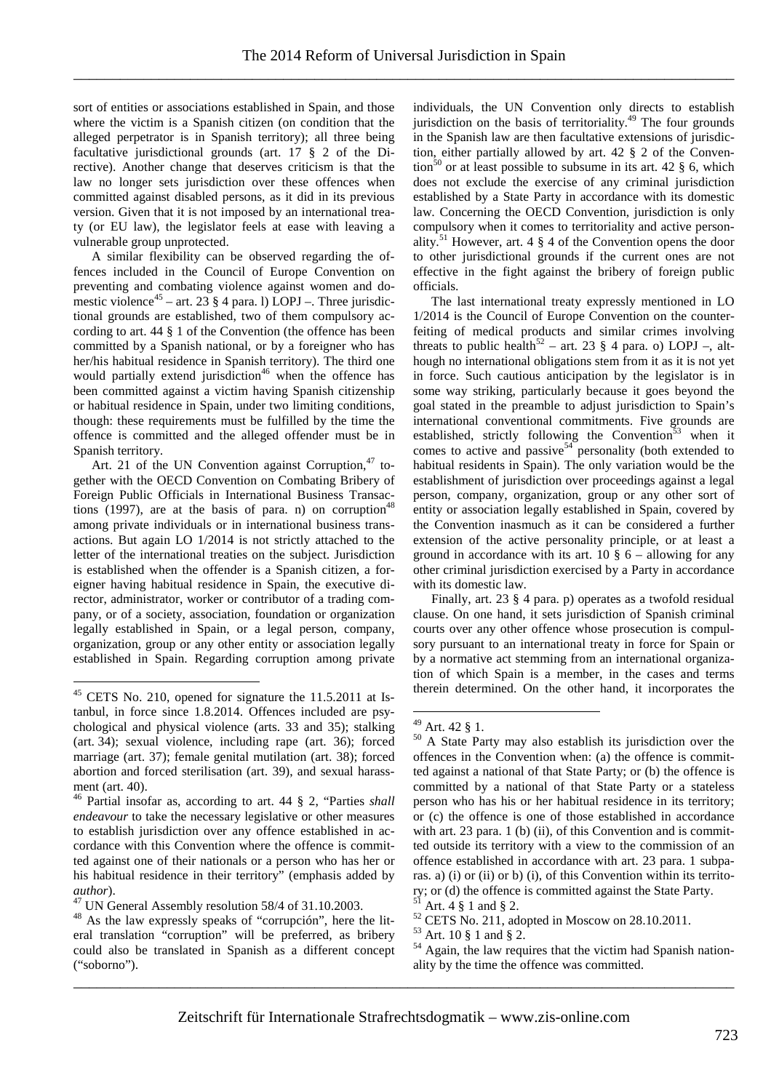sort of entities or associations established in Spain, and those where the victim is a Spanish citizen (on condition that the alleged perpetrator is in Spanish territory); all three being facultative jurisdictional grounds (art. 17 § 2 of the Directive). Another change that deserves criticism is that the law no longer sets jurisdiction over these offences when committed against disabled persons, as it did in its previous version. Given that it is not imposed by an international treaty (or EU law), the legislator feels at ease with leaving a vulnerable group unprotected.

A similar flexibility can be observed regarding the offences included in the Council of Europe Convention on preventing and combating violence against women and domestic violence<sup>45</sup> – art. 23 § 4 para. l) LOPJ –. Three jurisdictional grounds are established, two of them compulsory according to art. 44 § 1 of the Convention (the offence has been committed by a Spanish national, or by a foreigner who has her/his habitual residence in Spanish territory). The third one would partially extend jurisdiction<sup>46</sup> when the offence has been committed against a victim having Spanish citizenship or habitual residence in Spain, under two limiting conditions, though: these requirements must be fulfilled by the time the offence is committed and the alleged offender must be in Spanish territory.

Art. 21 of the UN Convention against Corruption.<sup>47</sup> together with the OECD Convention on Combating Bribery of Foreign Public Officials in International Business Transactions (1997), are at the basis of para. n) on corruption<sup>4</sup> among private individuals or in international business transactions. But again LO 1/2014 is not strictly attached to the letter of the international treaties on the subject. Jurisdiction is established when the offender is a Spanish citizen, a foreigner having habitual residence in Spain, the executive director, administrator, worker or contributor of a trading company, or of a society, association, foundation or organization legally established in Spain, or a legal person, company, organization, group or any other entity or association legally established in Spain. Regarding corruption among private

 $\overline{a}$ 

individuals, the UN Convention only directs to establish jurisdiction on the basis of territoriality.<sup>49</sup> The four grounds in the Spanish law are then facultative extensions of jurisdiction, either partially allowed by art. 42 § 2 of the Convention<sup>50</sup> or at least possible to subsume in its art. 42  $\S$  6, which does not exclude the exercise of any criminal jurisdiction established by a State Party in accordance with its domestic law. Concerning the OECD Convention, jurisdiction is only compulsory when it comes to territoriality and active personality.<sup>51</sup> However, art. 4  $\S$  4 of the Convention opens the door to other jurisdictional grounds if the current ones are not effective in the fight against the bribery of foreign public officials.

The last international treaty expressly mentioned in LO 1/2014 is the Council of Europe Convention on the counterfeiting of medical products and similar crimes involving threats to public health<sup>52</sup> – art. 23  $\S$  4 para. o) LOPJ –, although no international obligations stem from it as it is not yet in force. Such cautious anticipation by the legislator is in some way striking, particularly because it goes beyond the goal stated in the preamble to adjust jurisdiction to Spain's international conventional commitments. Five grounds are established, strictly following the Convention<sup>53</sup> when it comes to active and passive<sup>54</sup> personality (both extended to habitual residents in Spain). The only variation would be the establishment of jurisdiction over proceedings against a legal person, company, organization, group or any other sort of entity or association legally established in Spain, covered by the Convention inasmuch as it can be considered a further extension of the active personality principle, or at least a ground in accordance with its art. 10  $\S$  6 – allowing for any other criminal jurisdiction exercised by a Party in accordance with its domestic law.

Finally, art. 23 § 4 para. p) operates as a twofold residual clause. On one hand, it sets jurisdiction of Spanish criminal courts over any other offence whose prosecution is compulsory pursuant to an international treaty in force for Spain or by a normative act stemming from an international organization of which Spain is a member, in the cases and terms therein determined. On the other hand, it incorporates the

 $\overline{a}$ 

\_\_\_\_\_\_\_\_\_\_\_\_\_\_\_\_\_\_\_\_\_\_\_\_\_\_\_\_\_\_\_\_\_\_\_\_\_\_\_\_\_\_\_\_\_\_\_\_\_\_\_\_\_\_\_\_\_\_\_\_\_\_\_\_\_\_\_\_\_\_\_\_\_\_\_\_\_\_\_\_\_\_\_\_\_

<sup>45</sup> CETS No. 210, opened for signature the 11.5.2011 at Istanbul, in force since 1.8.2014. Offences included are psychological and physical violence (arts. 33 and 35); stalking (art. 34); sexual violence, including rape (art. 36); forced marriage (art. 37); female genital mutilation (art. 38); forced abortion and forced sterilisation (art. 39), and sexual harassment (art. 40).

<sup>46</sup> Partial insofar as, according to art. 44 § 2, "Parties *shall endeavour* to take the necessary legislative or other measures to establish jurisdiction over any offence established in accordance with this Convention where the offence is committed against one of their nationals or a person who has her or his habitual residence in their territory" (emphasis added by *author*).

<sup>&</sup>lt;sup>47</sup> UN General Assembly resolution 58/4 of 31.10.2003.

<sup>48</sup> As the law expressly speaks of "corrupción", here the literal translation "corruption" will be preferred, as bribery could also be translated in Spanish as a different concept ("soborno").

 $49$  Art. 42  $\S$  1.

<sup>50</sup> A State Party may also establish its jurisdiction over the offences in the Convention when: (a) the offence is committed against a national of that State Party; or (b) the offence is committed by a national of that State Party or a stateless person who has his or her habitual residence in its territory; or (c) the offence is one of those established in accordance with art. 23 para. 1 (b) (ii), of this Convention and is committed outside its territory with a view to the commission of an offence established in accordance with art. 23 para. 1 subparas. a) (i) or (ii) or b) (i), of this Convention within its territory; or (d) the offence is committed against the State Party.

Art. 4 § 1 and § 2.

 $52$  CETS No. 211, adopted in Moscow on 28.10.2011.

<sup>53</sup> Art. 10 § 1 and § 2.

<sup>&</sup>lt;sup>54</sup> Again, the law requires that the victim had Spanish nationality by the time the offence was committed.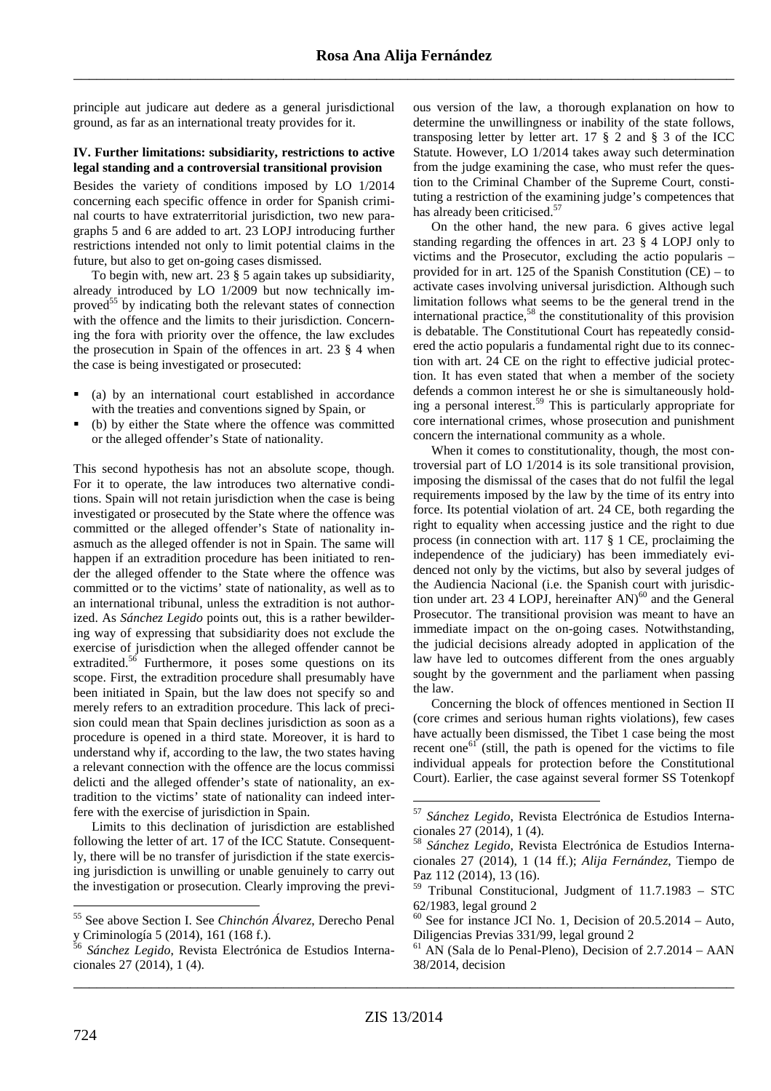principle aut judicare aut dedere as a general jurisdictional ground, as far as an international treaty provides for it.

#### **IV. Further limitations: subsidiarity, restrictions to active legal standing and a controversial transitional provision**

Besides the variety of conditions imposed by LO 1/2014 concerning each specific offence in order for Spanish criminal courts to have extraterritorial jurisdiction, two new paragraphs 5 and 6 are added to art. 23 LOPJ introducing further restrictions intended not only to limit potential claims in the future, but also to get on-going cases dismissed.

To begin with, new art. 23 § 5 again takes up subsidiarity, already introduced by LO 1/2009 but now technically improved<sup>55</sup> by indicating both the relevant states of connection with the offence and the limits to their jurisdiction. Concerning the fora with priority over the offence, the law excludes the prosecution in Spain of the offences in art. 23 § 4 when the case is being investigated or prosecuted:

- (a) by an international court established in accordance with the treaties and conventions signed by Spain, or
- (b) by either the State where the offence was committed or the alleged offender's State of nationality.

This second hypothesis has not an absolute scope, though. For it to operate, the law introduces two alternative conditions. Spain will not retain jurisdiction when the case is being investigated or prosecuted by the State where the offence was committed or the alleged offender's State of nationality inasmuch as the alleged offender is not in Spain. The same will happen if an extradition procedure has been initiated to render the alleged offender to the State where the offence was committed or to the victims' state of nationality, as well as to an international tribunal, unless the extradition is not authorized. As *Sánchez Legido* points out, this is a rather bewildering way of expressing that subsidiarity does not exclude the exercise of jurisdiction when the alleged offender cannot be extradited.<sup>56</sup> Furthermore, it poses some questions on its scope. First, the extradition procedure shall presumably have been initiated in Spain, but the law does not specify so and merely refers to an extradition procedure. This lack of precision could mean that Spain declines jurisdiction as soon as a procedure is opened in a third state. Moreover, it is hard to understand why if, according to the law, the two states having a relevant connection with the offence are the locus commissi delicti and the alleged offender's state of nationality, an extradition to the victims' state of nationality can indeed interfere with the exercise of jurisdiction in Spain.

Limits to this declination of jurisdiction are established following the letter of art. 17 of the ICC Statute. Consequently, there will be no transfer of jurisdiction if the state exercising jurisdiction is unwilling or unable genuinely to carry out the investigation or prosecution. Clearly improving the previ-

ous version of the law, a thorough explanation on how to determine the unwillingness or inability of the state follows, transposing letter by letter art.  $17 \tS 2$  and  $S 3$  of the ICC Statute. However, LO 1/2014 takes away such determination from the judge examining the case, who must refer the question to the Criminal Chamber of the Supreme Court, constituting a restriction of the examining judge's competences that has already been criticised.<sup>57</sup>

On the other hand, the new para. 6 gives active legal standing regarding the offences in art. 23 § 4 LOPJ only to victims and the Prosecutor, excluding the actio popularis – provided for in art. 125 of the Spanish Constitution (CE) – to activate cases involving universal jurisdiction. Although such limitation follows what seems to be the general trend in the international practice,<sup>58</sup> the constitutionality of this provision is debatable. The Constitutional Court has repeatedly considered the actio popularis a fundamental right due to its connection with art. 24 CE on the right to effective judicial protection. It has even stated that when a member of the society defends a common interest he or she is simultaneously holding a personal interest.<sup>59</sup> This is particularly appropriate for core international crimes, whose prosecution and punishment concern the international community as a whole.

When it comes to constitutionality, though, the most controversial part of LO 1/2014 is its sole transitional provision, imposing the dismissal of the cases that do not fulfil the legal requirements imposed by the law by the time of its entry into force. Its potential violation of art. 24 CE, both regarding the right to equality when accessing justice and the right to due process (in connection with art. 117 § 1 CE, proclaiming the independence of the judiciary) has been immediately evidenced not only by the victims, but also by several judges of the Audiencia Nacional (i.e. the Spanish court with jurisdiction under art. 23 4 LOPJ, hereinafter  $AN$ <sup>60</sup> and the General Prosecutor. The transitional provision was meant to have an immediate impact on the on-going cases. Notwithstanding, the judicial decisions already adopted in application of the law have led to outcomes different from the ones arguably sought by the government and the parliament when passing the law.

Concerning the block of offences mentioned in Section II (core crimes and serious human rights violations), few cases have actually been dismissed, the Tibet 1 case being the most recent one<sup> $61$ </sup> (still, the path is opened for the victims to file individual appeals for protection before the Constitutional Court). Earlier, the case against several former SS Totenkopf

\_\_\_\_\_\_\_\_\_\_\_\_\_\_\_\_\_\_\_\_\_\_\_\_\_\_\_\_\_\_\_\_\_\_\_\_\_\_\_\_\_\_\_\_\_\_\_\_\_\_\_\_\_\_\_\_\_\_\_\_\_\_\_\_\_\_\_\_\_\_\_\_\_\_\_\_\_\_\_\_\_\_\_\_\_

 $\overline{a}$ 

<sup>55</sup> See above Section I. See *Chinchón Álvarez*, Derecho Penal y Criminología 5 (2014), 161 (168 f.).

<sup>56</sup> *Sánchez Legido*, Revista Electrónica de Estudios Internacionales 27 (2014), 1 (4).

<sup>57</sup> *Sánchez Legido*, Revista Electrónica de Estudios Internacionales 27 (2014), 1 (4).

<sup>58</sup> *Sánchez Legido*, Revista Electrónica de Estudios Internacionales 27 (2014), 1 (14 ff.); *Alija Fernández*, Tiempo de Paz 112 (2014), 13 (16).

<sup>59</sup> Tribunal Constitucional, Judgment of 11.7.1983 – STC 62/1983, legal ground 2

 $60$  See for instance JCI No. 1, Decision of  $20.5.2014$  – Auto, Diligencias Previas 331/99, legal ground 2

AN (Sala de lo Penal-Pleno), Decision of 2.7.2014 – AAN 38/2014, decision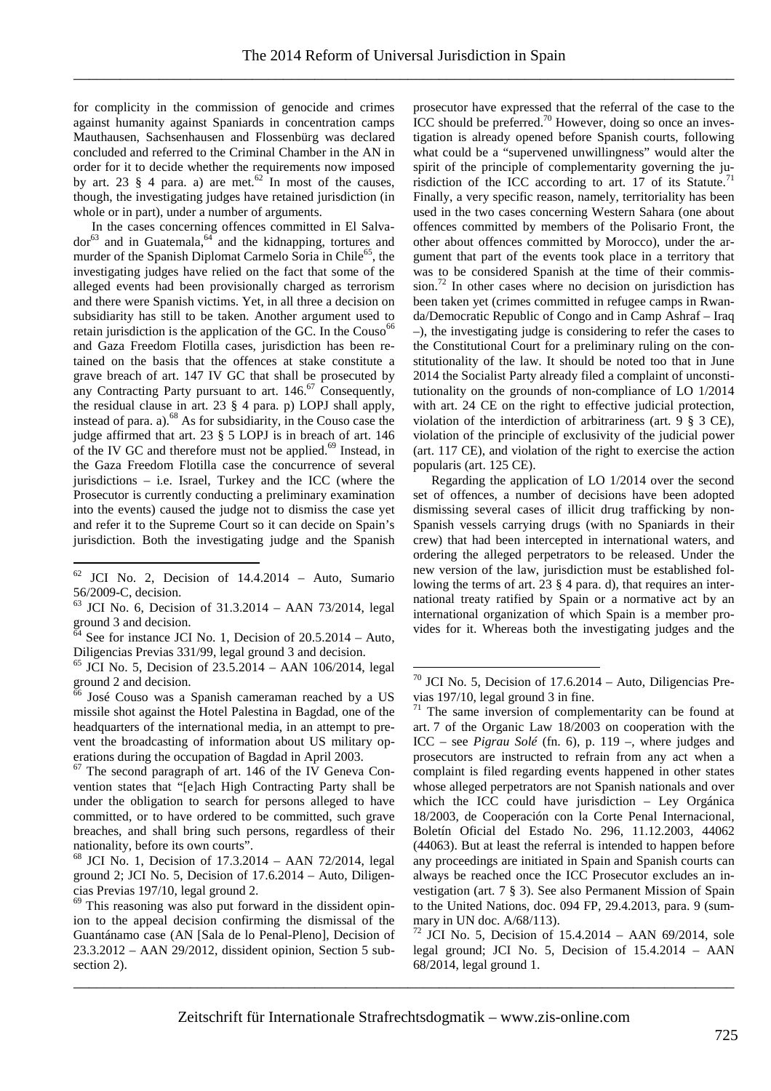for complicity in the commission of genocide and crimes against humanity against Spaniards in concentration camps Mauthausen, Sachsenhausen and Flossenbürg was declared concluded and referred to the Criminal Chamber in the AN in order for it to decide whether the requirements now imposed by art. 23  $\S$  4 para. a) are met.<sup>62</sup> In most of the causes, though, the investigating judges have retained jurisdiction (in whole or in part), under a number of arguments.

In the cases concerning offences committed in El Salva $d$ or<sup>63</sup> and in Guatemala, <sup>64</sup> and the kidnapping, tortures and murder of the Spanish Diplomat Carmelo Soria in Chile<sup>65</sup>, the investigating judges have relied on the fact that some of the alleged events had been provisionally charged as terrorism and there were Spanish victims. Yet, in all three a decision on subsidiarity has still to be taken. Another argument used to retain jurisdiction is the application of the GC. In the Couso<sup>66</sup> and Gaza Freedom Flotilla cases, jurisdiction has been retained on the basis that the offences at stake constitute a grave breach of art. 147 IV GC that shall be prosecuted by any Contracting Party pursuant to art.  $146$ <sup>67</sup> Consequently, the residual clause in art. 23 § 4 para. p) LOPJ shall apply, instead of para. a).<sup>68</sup> As for subsidiarity, in the Couso case the judge affirmed that art. 23 § 5 LOPJ is in breach of art. 146 of the IV GC and therefore must not be applied.<sup>69</sup> Instead, in the Gaza Freedom Flotilla case the concurrence of several jurisdictions – i.e. Israel, Turkey and the ICC (where the Prosecutor is currently conducting a preliminary examination into the events) caused the judge not to dismiss the case yet and refer it to the Supreme Court so it can decide on Spain's jurisdiction. Both the investigating judge and the Spanish

 $\overline{a}$ 

<sup>67</sup> The second paragraph of art. 146 of the IV Geneva Convention states that "[e]ach High Contracting Party shall be under the obligation to search for persons alleged to have committed, or to have ordered to be committed, such grave breaches, and shall bring such persons, regardless of their nationality, before its own courts".

prosecutor have expressed that the referral of the case to the  $\rm{ICC}$  should be preferred.<sup>70</sup> However, doing so once an investigation is already opened before Spanish courts, following what could be a "supervened unwillingness" would alter the spirit of the principle of complementarity governing the jurisdiction of the ICC according to art. 17 of its Statute.<sup>71</sup> Finally, a very specific reason, namely, territoriality has been used in the two cases concerning Western Sahara (one about offences committed by members of the Polisario Front, the other about offences committed by Morocco), under the argument that part of the events took place in a territory that was to be considered Spanish at the time of their commission.<sup>72</sup> In other cases where no decision on jurisdiction has been taken yet (crimes committed in refugee camps in Rwanda/Democratic Republic of Congo and in Camp Ashraf – Iraq –), the investigating judge is considering to refer the cases to the Constitutional Court for a preliminary ruling on the constitutionality of the law. It should be noted too that in June 2014 the Socialist Party already filed a complaint of unconstitutionality on the grounds of non-compliance of LO 1/2014 with art. 24 CE on the right to effective judicial protection, violation of the interdiction of arbitrariness (art. 9 § 3 CE), violation of the principle of exclusivity of the judicial power (art. 117 CE), and violation of the right to exercise the action popularis (art. 125 CE).

Regarding the application of LO 1/2014 over the second set of offences, a number of decisions have been adopted dismissing several cases of illicit drug trafficking by non-Spanish vessels carrying drugs (with no Spaniards in their crew) that had been intercepted in international waters, and ordering the alleged perpetrators to be released. Under the new version of the law, jurisdiction must be established following the terms of art. 23 § 4 para. d), that requires an international treaty ratified by Spain or a normative act by an international organization of which Spain is a member provides for it. Whereas both the investigating judges and the

\_\_\_\_\_\_\_\_\_\_\_\_\_\_\_\_\_\_\_\_\_\_\_\_\_\_\_\_\_\_\_\_\_\_\_\_\_\_\_\_\_\_\_\_\_\_\_\_\_\_\_\_\_\_\_\_\_\_\_\_\_\_\_\_\_\_\_\_\_\_\_\_\_\_\_\_\_\_\_\_\_\_\_\_\_

 $62$  JCI No. 2, Decision of  $14.4.2014$  – Auto, Sumario 56/2009-C, decision.

<sup>63</sup> JCI No. 6, Decision of 31.3.2014 – AAN 73/2014, legal ground 3 and decision.

See for instance JCI No. 1, Decision of 20.5.2014 – Auto, Diligencias Previas 331/99, legal ground 3 and decision.

 $65$  JCI No. 5, Decision of  $23.5.2014 - AAN 106/2014$ , legal ground 2 and decision.

 $\frac{66}{6}$  José Couso was a Spanish cameraman reached by a US missile shot against the Hotel Palestina in Bagdad, one of the headquarters of the international media, in an attempt to prevent the broadcasting of information about US military operations during the occupation of Bagdad in April 2003.

<sup>68</sup> JCI No. 1, Decision of 17.3.2014 – AAN 72/2014, legal ground 2; JCI No. 5, Decision of 17.6.2014 – Auto, Diligencias Previas 197/10, legal ground 2.

<sup>&</sup>lt;sup>69</sup> This reasoning was also put forward in the dissident opinion to the appeal decision confirming the dismissal of the Guantánamo case (AN [Sala de lo Penal-Pleno], Decision of 23.3.2012 – AAN 29/2012, dissident opinion, Section 5 subsection 2).

 $70$  JCI No. 5, Decision of 17.6.2014 – Auto, Diligencias Previas 197/10, legal ground 3 in fine.

<sup>&</sup>lt;sup>71</sup> The same inversion of complementarity can be found at art. 7 of the Organic Law 18/2003 on cooperation with the ICC – see *Pigrau Solé* (fn. 6), p. 119 –, where judges and prosecutors are instructed to refrain from any act when a complaint is filed regarding events happened in other states whose alleged perpetrators are not Spanish nationals and over which the ICC could have jurisdiction – Ley Orgánica 18/2003, de Cooperación con la Corte Penal Internacional, Boletín Oficial del Estado No. 296, 11.12.2003, 44062 (44063). But at least the referral is intended to happen before any proceedings are initiated in Spain and Spanish courts can always be reached once the ICC Prosecutor excludes an investigation (art. 7 § 3). See also Permanent Mission of Spain to the United Nations, doc. 094 FP, 29.4.2013, para. 9 (summary in UN doc. A/68/113).

 $72 \text{ JCI}$  No. 5, Decision of 15.4.2014 – AAN 69/2014, sole legal ground; JCI No. 5, Decision of 15.4.2014 – AAN 68/2014, legal ground 1.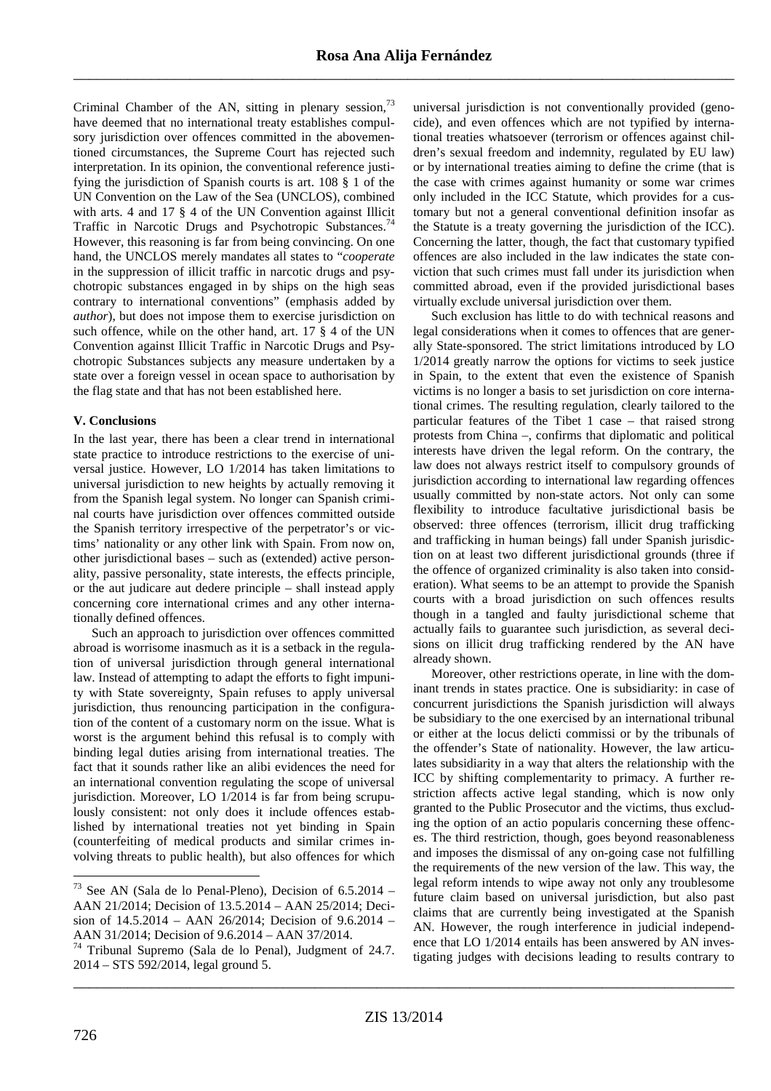Criminal Chamber of the AN, sitting in plenary session,<sup>73</sup> have deemed that no international treaty establishes compulsory jurisdiction over offences committed in the abovementioned circumstances, the Supreme Court has rejected such interpretation. In its opinion, the conventional reference justifying the jurisdiction of Spanish courts is art. 108 § 1 of the UN Convention on the Law of the Sea (UNCLOS), combined with arts. 4 and 17 § 4 of the UN Convention against Illicit Traffic in Narcotic Drugs and Psychotropic Substances.<sup>74</sup> However, this reasoning is far from being convincing. On one hand, the UNCLOS merely mandates all states to "*cooperate* in the suppression of illicit traffic in narcotic drugs and psychotropic substances engaged in by ships on the high seas contrary to international conventions" (emphasis added by *author*), but does not impose them to exercise jurisdiction on such offence, while on the other hand, art. 17 § 4 of the UN Convention against Illicit Traffic in Narcotic Drugs and Psychotropic Substances subjects any measure undertaken by a state over a foreign vessel in ocean space to authorisation by the flag state and that has not been established here.

## **V. Conclusions**

In the last year, there has been a clear trend in international state practice to introduce restrictions to the exercise of universal justice. However, LO 1/2014 has taken limitations to universal jurisdiction to new heights by actually removing it from the Spanish legal system. No longer can Spanish criminal courts have jurisdiction over offences committed outside the Spanish territory irrespective of the perpetrator's or victims' nationality or any other link with Spain. From now on, other jurisdictional bases – such as (extended) active personality, passive personality, state interests, the effects principle, or the aut judicare aut dedere principle – shall instead apply concerning core international crimes and any other internationally defined offences.

Such an approach to jurisdiction over offences committed abroad is worrisome inasmuch as it is a setback in the regulation of universal jurisdiction through general international law. Instead of attempting to adapt the efforts to fight impunity with State sovereignty, Spain refuses to apply universal jurisdiction, thus renouncing participation in the configuration of the content of a customary norm on the issue. What is worst is the argument behind this refusal is to comply with binding legal duties arising from international treaties. The fact that it sounds rather like an alibi evidences the need for an international convention regulating the scope of universal jurisdiction. Moreover, LO 1/2014 is far from being scrupulously consistent: not only does it include offences established by international treaties not yet binding in Spain (counterfeiting of medical products and similar crimes involving threats to public health), but also offences for which

universal jurisdiction is not conventionally provided (genocide), and even offences which are not typified by international treaties whatsoever (terrorism or offences against children's sexual freedom and indemnity, regulated by EU law) or by international treaties aiming to define the crime (that is the case with crimes against humanity or some war crimes only included in the ICC Statute, which provides for a customary but not a general conventional definition insofar as the Statute is a treaty governing the jurisdiction of the ICC). Concerning the latter, though, the fact that customary typified offences are also included in the law indicates the state conviction that such crimes must fall under its jurisdiction when committed abroad, even if the provided jurisdictional bases virtually exclude universal jurisdiction over them.

Such exclusion has little to do with technical reasons and legal considerations when it comes to offences that are generally State-sponsored. The strict limitations introduced by LO 1/2014 greatly narrow the options for victims to seek justice in Spain, to the extent that even the existence of Spanish victims is no longer a basis to set jurisdiction on core international crimes. The resulting regulation, clearly tailored to the particular features of the Tibet 1 case – that raised strong protests from China –, confirms that diplomatic and political interests have driven the legal reform. On the contrary, the law does not always restrict itself to compulsory grounds of jurisdiction according to international law regarding offences usually committed by non-state actors. Not only can some flexibility to introduce facultative jurisdictional basis be observed: three offences (terrorism, illicit drug trafficking and trafficking in human beings) fall under Spanish jurisdiction on at least two different jurisdictional grounds (three if the offence of organized criminality is also taken into consideration). What seems to be an attempt to provide the Spanish courts with a broad jurisdiction on such offences results though in a tangled and faulty jurisdictional scheme that actually fails to guarantee such jurisdiction, as several decisions on illicit drug trafficking rendered by the AN have already shown.

Moreover, other restrictions operate, in line with the dominant trends in states practice. One is subsidiarity: in case of concurrent jurisdictions the Spanish jurisdiction will always be subsidiary to the one exercised by an international tribunal or either at the locus delicti commissi or by the tribunals of the offender's State of nationality. However, the law articulates subsidiarity in a way that alters the relationship with the ICC by shifting complementarity to primacy. A further restriction affects active legal standing, which is now only granted to the Public Prosecutor and the victims, thus excluding the option of an actio popularis concerning these offences. The third restriction, though, goes beyond reasonableness and imposes the dismissal of any on-going case not fulfilling the requirements of the new version of the law. This way, the legal reform intends to wipe away not only any troublesome future claim based on universal jurisdiction, but also past claims that are currently being investigated at the Spanish AN. However, the rough interference in judicial independence that LO 1/2014 entails has been answered by AN investigating judges with decisions leading to results contrary to

\_\_\_\_\_\_\_\_\_\_\_\_\_\_\_\_\_\_\_\_\_\_\_\_\_\_\_\_\_\_\_\_\_\_\_\_\_\_\_\_\_\_\_\_\_\_\_\_\_\_\_\_\_\_\_\_\_\_\_\_\_\_\_\_\_\_\_\_\_\_\_\_\_\_\_\_\_\_\_\_\_\_\_\_\_

 $73$  See AN (Sala de lo Penal-Pleno), Decision of 6.5.2014 – AAN 21/2014; Decision of 13.5.2014 – AAN 25/2014; Decision of 14.5.2014 – AAN 26/2014; Decision of 9.6.2014 – AAN 31/2014; Decision of 9.6.2014 – AAN 37/2014.

<sup>74</sup> Tribunal Supremo (Sala de lo Penal), Judgment of 24.7. 2014 – STS 592/2014, legal ground 5.